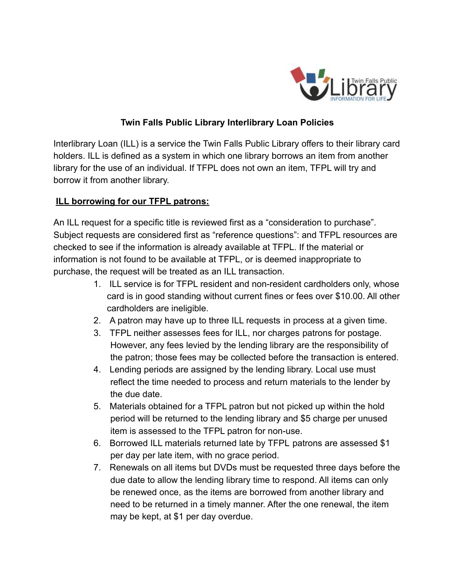

## **Twin Falls Public Library Interlibrary Loan Policies**

Interlibrary Loan (ILL) is a service the Twin Falls Public Library offers to their library card holders. ILL is defined as a system in which one library borrows an item from another library for the use of an individual. If TFPL does not own an item, TFPL will try and borrow it from another library.

## **ILL borrowing for our TFPL patrons:**

An ILL request for a specific title is reviewed first as a "consideration to purchase". Subject requests are considered first as "reference questions": and TFPL resources are checked to see if the information is already available at TFPL. If the material or information is not found to be available at TFPL, or is deemed inappropriate to purchase, the request will be treated as an ILL transaction.

- 1. ILL service is for TFPL resident and non-resident cardholders only, whose card is in good standing without current fines or fees over \$10.00. All other cardholders are ineligible.
- 2. A patron may have up to three ILL requests in process at a given time.
- 3. TFPL neither assesses fees for ILL, nor charges patrons for postage. However, any fees levied by the lending library are the responsibility of the patron; those fees may be collected before the transaction is entered.
- 4. Lending periods are assigned by the lending library. Local use must reflect the time needed to process and return materials to the lender by the due date.
- 5. Materials obtained for a TFPL patron but not picked up within the hold period will be returned to the lending library and \$5 charge per unused item is assessed to the TFPL patron for non-use.
- 6. Borrowed ILL materials returned late by TFPL patrons are assessed \$1 per day per late item, with no grace period.
- 7. Renewals on all items but DVDs must be requested three days before the due date to allow the lending library time to respond. All items can only be renewed once, as the items are borrowed from another library and need to be returned in a timely manner. After the one renewal, the item may be kept, at \$1 per day overdue.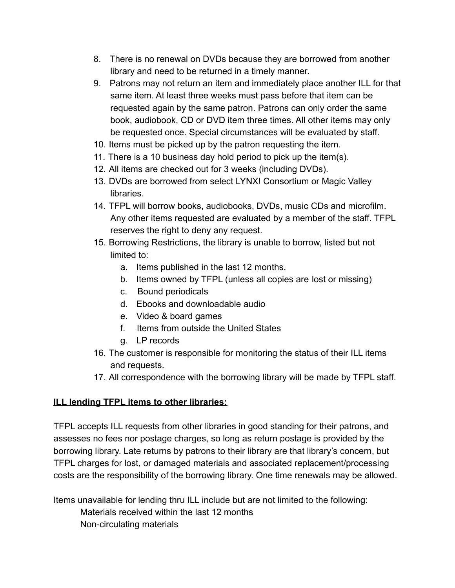- 8. There is no renewal on DVDs because they are borrowed from another library and need to be returned in a timely manner.
- 9. Patrons may not return an item and immediately place another ILL for that same item. At least three weeks must pass before that item can be requested again by the same patron. Patrons can only order the same book, audiobook, CD or DVD item three times. All other items may only be requested once. Special circumstances will be evaluated by staff.
- 10. Items must be picked up by the patron requesting the item.
- 11. There is a 10 business day hold period to pick up the item(s).
- 12. All items are checked out for 3 weeks (including DVDs).
- 13. DVDs are borrowed from select LYNX! Consortium or Magic Valley libraries.
- 14. TFPL will borrow books, audiobooks, DVDs, music CDs and microfilm. Any other items requested are evaluated by a member of the staff. TFPL reserves the right to deny any request.
- 15. Borrowing Restrictions, the library is unable to borrow, listed but not limited to:
	- a. Items published in the last 12 months.
	- b. Items owned by TFPL (unless all copies are lost or missing)
	- c. Bound periodicals
	- d. Ebooks and downloadable audio
	- e. Video & board games
	- f. Items from outside the United States
	- g. LP records
- 16. The customer is responsible for monitoring the status of their ILL items and requests.
- 17. All correspondence with the borrowing library will be made by TFPL staff.

## **ILL lending TFPL items to other libraries:**

TFPL accepts ILL requests from other libraries in good standing for their patrons, and assesses no fees nor postage charges, so long as return postage is provided by the borrowing library. Late returns by patrons to their library are that library's concern, but TFPL charges for lost, or damaged materials and associated replacement/processing costs are the responsibility of the borrowing library. One time renewals may be allowed.

Items unavailable for lending thru ILL include but are not limited to the following:

Materials received within the last 12 months

Non-circulating materials